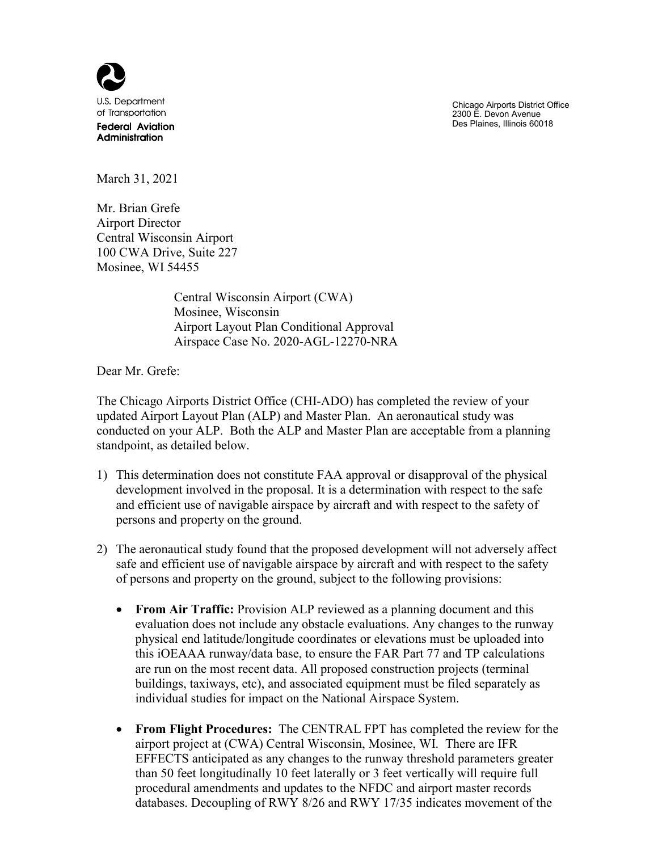

Chicago Airports District Office 2300 E. Devon Avenue Des Plaines, Illinois 60018

March 31, 2021

Mr. Brian Grefe Airport Director Central Wisconsin Airport 100 CWA Drive, Suite 227 Mosinee, WI 54455

> Central Wisconsin Airport (CWA) Mosinee, Wisconsin Airport Layout Plan Conditional Approval Airspace Case No. 2020-AGL-12270-NRA

Dear Mr. Grefe:

The Chicago Airports District Office (CHI-ADO) has completed the review of your updated Airport Layout Plan (ALP) and Master Plan. An aeronautical study was conducted on your ALP. Both the ALP and Master Plan are acceptable from a planning standpoint, as detailed below.

- 1) This determination does not constitute FAA approval or disapproval of the physical development involved in the proposal. It is a determination with respect to the safe and efficient use of navigable airspace by aircraft and with respect to the safety of persons and property on the ground.
- 2) The aeronautical study found that the proposed development will not adversely affect safe and efficient use of navigable airspace by aircraft and with respect to the safety of persons and property on the ground, subject to the following provisions:
	- **From Air Traffic:** Provision ALP reviewed as a planning document and this evaluation does not include any obstacle evaluations. Any changes to the runway physical end latitude/longitude coordinates or elevations must be uploaded into this iOEAAA runway/data base, to ensure the FAR Part 77 and TP calculations are run on the most recent data. All proposed construction projects (terminal buildings, taxiways, etc), and associated equipment must be filed separately as individual studies for impact on the National Airspace System.
	- **From Flight Procedures:** The CENTRAL FPT has completed the review for the airport project at (CWA) Central Wisconsin, Mosinee, WI. There are IFR EFFECTS anticipated as any changes to the runway threshold parameters greater than 50 feet longitudinally 10 feet laterally or 3 feet vertically will require full procedural amendments and updates to the NFDC and airport master records databases. Decoupling of RWY 8/26 and RWY 17/35 indicates movement of the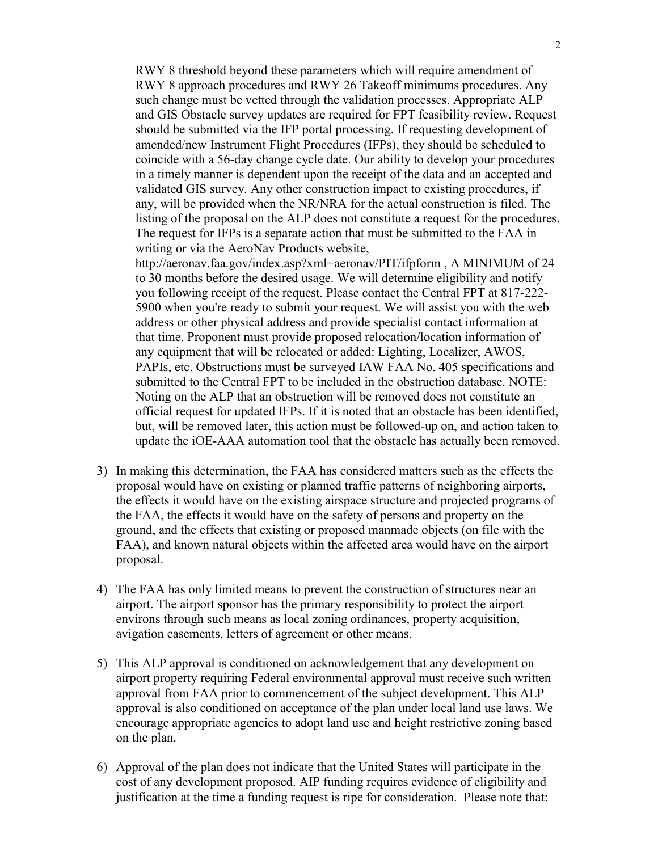RWY 8 threshold beyond these parameters which will require amendment of RWY 8 approach procedures and RWY 26 Takeoff minimums procedures. Any such change must be vetted through the validation processes. Appropriate ALP and GIS Obstacle survey updates are required for FPT feasibility review. Request should be submitted via the IFP portal processing. If requesting development of amended/new Instrument Flight Procedures (IFPs), they should be scheduled to coincide with a 56-day change cycle date. Our ability to develop your procedures in a timely manner is dependent upon the receipt of the data and an accepted and validated GIS survey. Any other construction impact to existing procedures, if any, will be provided when the NR/NRA for the actual construction is filed. The listing of the proposal on the ALP does not constitute a request for the procedures. The request for IFPs is a separate action that must be submitted to the FAA in writing or via the AeroNav Products website,

http://aeronav.faa.gov/index.asp?xml=aeronav/PIT/ifpform , A MINIMUM of 24 to 30 months before the desired usage. We will determine eligibility and notify you following receipt of the request. Please contact the Central FPT at 817-222- 5900 when you're ready to submit your request. We will assist you with the web address or other physical address and provide specialist contact information at that time. Proponent must provide proposed relocation/location information of any equipment that will be relocated or added: Lighting, Localizer, AWOS, PAPIs, etc. Obstructions must be surveyed IAW FAA No. 405 specifications and submitted to the Central FPT to be included in the obstruction database. NOTE: Noting on the ALP that an obstruction will be removed does not constitute an official request for updated IFPs. If it is noted that an obstacle has been identified, but, will be removed later, this action must be followed-up on, and action taken to update the iOE-AAA automation tool that the obstacle has actually been removed.

- 3) In making this determination, the FAA has considered matters such as the effects the proposal would have on existing or planned traffic patterns of neighboring airports, the effects it would have on the existing airspace structure and projected programs of the FAA, the effects it would have on the safety of persons and property on the ground, and the effects that existing or proposed manmade objects (on file with the FAA), and known natural objects within the affected area would have on the airport proposal.
- 4) The FAA has only limited means to prevent the construction of structures near an airport. The airport sponsor has the primary responsibility to protect the airport environs through such means as local zoning ordinances, property acquisition, avigation easements, letters of agreement or other means.
- 5) This ALP approval is conditioned on acknowledgement that any development on airport property requiring Federal environmental approval must receive such written approval from FAA prior to commencement of the subject development. This ALP approval is also conditioned on acceptance of the plan under local land use laws. We encourage appropriate agencies to adopt land use and height restrictive zoning based on the plan.
- 6) Approval of the plan does not indicate that the United States will participate in the cost of any development proposed. AIP funding requires evidence of eligibility and justification at the time a funding request is ripe for consideration. Please note that: